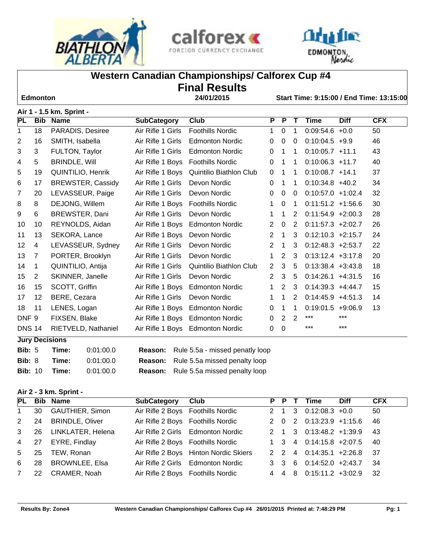





# **Western Canadian Championships/ Calforex Cup #4**

# **Final Results**

 **Edmonton 24/01/2015 Start Time: 9:15:00 / End Time: 13:15:00**

# **Air 1 - 1.5 km. Sprint -**

| <b>PL</b>        | <b>Bib</b>     | <b>Name</b>              | <b>SubCategory</b> | <b>Club</b>                      | $\overline{P}$ | $\overline{P}$ | т              | <b>Time</b>         | <b>Diff</b> | <b>CFX</b> |
|------------------|----------------|--------------------------|--------------------|----------------------------------|----------------|----------------|----------------|---------------------|-------------|------------|
| 1                | 18             | PARADIS, Desiree         | Air Rifle 1 Girls  | <b>Foothills Nordic</b>          | $\mathbf 1$    | $\mathbf 0$    | 1              | $0:09:54.6 +0.0$    |             | 50         |
| $\overline{2}$   | 16             | SMITH, Isabella          | Air Rifle 1 Girls  | <b>Edmonton Nordic</b>           | $\mathbf{0}$   | $\mathbf 0$    | $\mathbf{0}$   | $0:10:04.5$ +9.9    |             | 46         |
| 3                | 3              | FULTON, Taylor           | Air Rifle 1 Girls  | <b>Edmonton Nordic</b>           | $\mathbf{0}$   | $\mathbf{1}$   | 1              | $0:10:05.7$ +11.1   |             | 43         |
| 4                | 5              | <b>BRINDLE, Will</b>     | Air Rifle 1 Boys   | <b>Foothills Nordic</b>          | 0              | 1              | 1              | $0:10:06.3$ +11.7   |             | 40         |
| 5                | 19             | QUINTILIO, Henrik        | Air Rifle 1 Boys   | Quintilio Biathlon Club          | $\Omega$       | 1              | 1              | $0:10:08.7$ +14.1   |             | 37         |
| 6                | 17             | <b>BREWSTER, Cassidy</b> | Air Rifle 1 Girls  | Devon Nordic                     | $\mathbf{0}$   | $\mathbf 1$    | 1              | $0:10:34.8$ +40.2   |             | 34         |
| $\overline{7}$   | 20             | LEVASSEUR, Paige         | Air Rifle 1 Girls  | Devon Nordic                     | 0              | $\mathbf 0$    | 0              | $0:10:57.0 +1:02.4$ |             | 32         |
| 8                | 8              | DEJONG, Willem           | Air Rifle 1 Boys   | <b>Foothills Nordic</b>          | $\mathbf{1}$   | $\mathbf 0$    | 1              | $0:11:51.2 +1:56.6$ |             | 30         |
| 9                | 6              | BREWSTER, Dani           | Air Rifle 1 Girls  | Devon Nordic                     | 1              | $\mathbf 1$    | 2              | $0:11:54.9$ +2:00.3 |             | 28         |
| 10               | 10             | REYNOLDS, Aidan          | Air Rifle 1 Boys   | <b>Edmonton Nordic</b>           | $\overline{2}$ | $\mathbf 0$    | $\overline{2}$ | $0:11:57.3$ +2:02.7 |             | 26         |
| 11               | 13             | SEKORA, Lance            | Air Rifle 1 Boys   | Devon Nordic                     | $\overline{2}$ | $\mathbf{1}$   | 3              | $0:12:10.3$ +2:15.7 |             | 24         |
| 12               | 4              | LEVASSEUR, Sydney        | Air Rifle 1 Girls  | Devon Nordic                     | 2              | $\mathbf 1$    | 3              | $0:12:48.3$ +2:53.7 |             | 22         |
| 13               | $\overline{7}$ | PORTER, Brooklyn         | Air Rifle 1 Girls  | Devon Nordic                     | $\mathbf 1$    | 2              | 3              | $0:13:12.4$ +3:17.8 |             | 20         |
| 14               | 1              | QUINTILIO, Antija        | Air Rifle 1 Girls  | <b>Quintilio Biathlon Club</b>   | $\overline{2}$ | 3              | 5              | $0:13:38.4$ +3:43.8 |             | 18         |
| 15               | 2              | SKINNER, Janelle         | Air Rifle 1 Girls  | Devon Nordic                     | $\overline{2}$ | 3              | 5              | $0:14:26.1$ +4:31.5 |             | 16         |
| 16               | 15             | SCOTT, Griffin           | Air Rifle 1 Boys   | <b>Edmonton Nordic</b>           | $\mathbf 1$    | 2              | 3              | $0:14:39.3$ +4:44.7 |             | 15         |
| 17               | 12             | BERE, Cezara             | Air Rifle 1 Girls  | Devon Nordic                     | 1              | $\mathbf 1$    | 2              | $0:14:45.9$ +4:51.3 |             | 14         |
| 18               | 11             | LENES, Logan             | Air Rifle 1 Boys   | <b>Edmonton Nordic</b>           | $\Omega$       | 1              | 1              | $0:19:01.5 +9:06.9$ |             | 13         |
| DNF <sub>9</sub> |                | FIXSEN, Blake            |                    | Air Rifle 1 Boys Edmonton Nordic | 0              | $\overline{2}$ | $\overline{2}$ | ***                 | ***         |            |
| <b>DNS 14</b>    |                | RIETVELD, Nathaniel      |                    | Air Rifle 1 Boys Edmonton Nordic | 0              | $\mathbf 0$    |                | ***                 | $***$       |            |
|                  |                | <b>Jury Decisions</b>    |                    |                                  |                |                |                |                     |             |            |
| <b>Bib: 5</b>    |                | 0:01:00.0<br>Time:       | <b>Reason:</b>     | Rule 5.5a - missed penatly loop  |                |                |                |                     |             |            |

| Bib: 5         | Time: | 0:01:00.0 | <b>Reason:</b> Rule 5.5a - missed penatly loop |
|----------------|-------|-----------|------------------------------------------------|
| Bib: 8         | Time: | 0.01:00.0 | <b>Reason:</b> Rule 5.5a missed penalty loop   |
| <b>Bib:</b> 10 | Time: | 0.01:00.0 | <b>Reason:</b> Rule 5.5a missed penalty loop   |

#### **Air 2 - 3 km. Sprint -**

| <b>PL</b>      |    | <b>Bib</b> Name        | <b>SubCategory</b>                | Club                                  | P P T               | Time                       | <b>Diff</b> | <b>CFX</b> |
|----------------|----|------------------------|-----------------------------------|---------------------------------------|---------------------|----------------------------|-------------|------------|
| $\mathbf{1}$   | 30 | <b>GAUTHIER, Simon</b> | Air Rifle 2 Boys Foothills Nordic |                                       | $2 \quad 1 \quad 3$ | $0:12:08.3 +0.0$           |             | 50         |
| 2              | 24 | <b>BRINDLE, Oliver</b> | Air Rifle 2 Boys Foothills Nordic |                                       |                     | 2 0 2 0:13:23.9 +1:15.6    |             | -46        |
| 3 <sup>1</sup> | 26 | LINKLATER, Helena      |                                   | Air Rifle 2 Girls Edmonton Nordic     |                     | 2 1 3 0:13:48.2 +1:39.9 43 |             |            |
| 4 27           |    | EYRE, Findlay          | Air Rifle 2 Boys Foothills Nordic |                                       |                     | 1 3 4 0:14:15.8 +2:07.5    |             | - 40       |
| 5              | 25 | TEW, Ronan             |                                   | Air Rifle 2 Boys Hinton Nordic Skiers |                     | 2 2 4 0:14:35.1 +2:26.8 37 |             |            |
| 6              | 28 | <b>BROWNLEE, Elsa</b>  |                                   | Air Rifle 2 Girls Edmonton Nordic     | 3 3 6               | $0:14:52.0$ +2:43.7        |             | - 34       |
| $7^{\circ}$    | 22 | CRAMER, Noah           | Air Rifle 2 Boys Foothills Nordic |                                       |                     | 4 4 8 0:15:11.2 +3:02.9    |             | - 32       |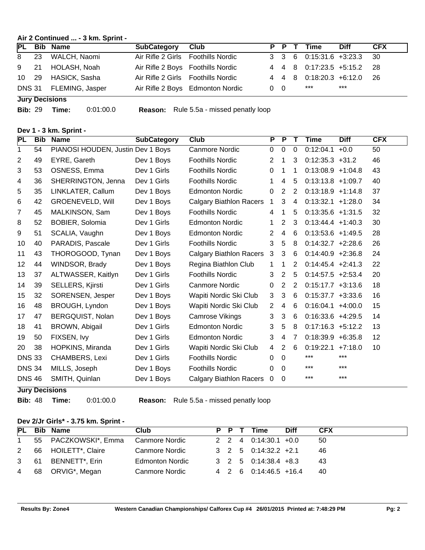#### **Air 2 Continued ... - 3 km. Sprint -**

|       | PL Bib Name                                | <b>SubCategory</b> | <b>Club</b>                        |            |  | P P T Time                 | <b>Diff</b> | <b>CFX</b> |
|-------|--------------------------------------------|--------------------|------------------------------------|------------|--|----------------------------|-------------|------------|
|       | 8 23 WALCH, Naomi                          |                    | Air Rifle 2 Girls Foothills Nordic |            |  | 3 3 6 0:15:31.6 +3:23.3 30 |             |            |
|       | 9 21 HOLASH, Noah                          |                    | Air Rifle 2 Boys Foothills Nordic  |            |  | 4 4 8 0:17:23.5 +5:15.2 28 |             |            |
| 10 29 | HASICK, Sasha                              |                    | Air Rifle 2 Girls Foothills Nordic |            |  | 4 4 8 0:18:20.3 +6:12.0 26 |             |            |
|       | DNS 31 FLEMING, Jasper                     |                    | Air Rifle 2 Boys Edmonton Nordic   | $0\quad 0$ |  | ***                        | ***         |            |
|       | $\mathbf{r}$ , and the set of $\mathbf{r}$ |                    |                                    |            |  |                            |             |            |

**Jury Decisions**

**Bib:** 29 **Time:** 0:01:00.0 **Reason:** Rule 5.5a - missed penatly loop

#### **Dev 1 - 3 km. Sprint -**

| <b>PL</b>     | <b>Bib</b> | <b>Name</b>                       | <b>SubCategory</b> | Club                           | P              | P              | Т           | Time                 | <b>Diff</b> | <b>CFX</b> |
|---------------|------------|-----------------------------------|--------------------|--------------------------------|----------------|----------------|-------------|----------------------|-------------|------------|
| 1             | 54         | PIANOSI HOUDEN, Justin Dev 1 Boys |                    | <b>Canmore Nordic</b>          | $\mathbf{0}$   | $\mathbf 0$    | $\mathbf 0$ | 0:12:04.1            | $+0.0$      | 50         |
| 2             | 49         | EYRE, Gareth                      | Dev 1 Boys         | <b>Foothills Nordic</b>        | $\overline{2}$ | 1              | 3           | $0:12:35.3$ +31.2    |             | 46         |
| 3             | 53         | OSNESS, Emma                      | Dev 1 Girls        | <b>Foothills Nordic</b>        | $\mathbf 0$    | 1              | $\mathbf 1$ | $0:13:08.9 +1:04.8$  |             | 43         |
| 4             | 36         | SHERRINGTON, Jenna                | Dev 1 Girls        | <b>Foothills Nordic</b>        | 1              | 4              | 5           | $0:13:13.8$ +1:09.7  |             | 40         |
| 5             | 35         | LINKLATER, Callum                 | Dev 1 Boys         | <b>Edmonton Nordic</b>         | 0              | 2              | 2           | $0:13:18.9 +1:14.8$  |             | 37         |
| 6             | 42         | <b>GROENEVELD, Will</b>           | Dev 1 Boys         | <b>Calgary Biathlon Racers</b> | 1              | 3              | 4           | $0:13:32.1 +1:28.0$  |             | 34         |
| 7             | 45         | MALKINSON, Sam                    | Dev 1 Boys         | <b>Foothills Nordic</b>        | 4              | 1              | 5           | $0:13:35.6$ +1:31.5  |             | 32         |
| 8             | 52         | <b>BOBIER, Solomia</b>            | Dev 1 Girls        | <b>Edmonton Nordic</b>         | 1              | 2              | 3           | $0:13:44.4$ +1:40.3  |             | 30         |
| 9             | 51         | SCALIA, Vaughn                    | Dev 1 Boys         | <b>Edmonton Nordic</b>         | 2              | $\overline{4}$ | 6           | $0:13:53.6$ +1:49.5  |             | 28         |
| 10            | 40         | PARADIS, Pascale                  | Dev 1 Girls        | <b>Foothills Nordic</b>        | 3              | 5              | 8           | $0:14:32.7$ +2:28.6  |             | 26         |
| 11            | 43         | THOROGOOD, Tynan                  | Dev 1 Boys         | <b>Calgary Biathlon Racers</b> | 3              | 3              | 6           | $0:14:40.9$ +2:36.8  |             | 24         |
| 12            | 44         | WINDSOR, Brady                    | Dev 1 Boys         | Regina Biathlon Club           | 1              | 1              | 2           | $0:14:45.4$ +2:41.3  |             | 22         |
| 13            | 37         | ALTWASSER, Kaitlyn                | Dev 1 Girls        | <b>Foothills Nordic</b>        | 3              | 2              | 5           | $0:14:57.5$ +2:53.4  |             | 20         |
| 14            | 39         | SELLERS, Kjirsti                  | Dev 1 Girls        | <b>Canmore Nordic</b>          | 0              | 2              | 2           | $0:15:17.7$ +3:13.6  |             | 18         |
| 15            | 32         | SORENSEN, Jesper                  | Dev 1 Boys         | Wapiti Nordic Ski Club         | 3              | $\mathbf{3}$   | 6           | $0:15:37.7$ +3:33.6  |             | 16         |
| 16            | 48         | BROUGH, Lyndon                    | Dev 1 Boys         | Wapiti Nordic Ski Club         | $\overline{2}$ | 4              | 6           | $0:16:04.1 + 4:00.0$ |             | 15         |
| 17            | 47         | BERGQUIST, Nolan                  | Dev 1 Boys         | Camrose Vikings                | 3              | 3              | 6           | $0:16:33.6$ +4:29.5  |             | 14         |
| 18            | 41         | BROWN, Abigail                    | Dev 1 Girls        | <b>Edmonton Nordic</b>         | 3              | 5              | 8           | $0:17:16.3 +5:12.2$  |             | 13         |
| 19            | 50         | FIXSEN, Ivy                       | Dev 1 Girls        | <b>Edmonton Nordic</b>         | 3              | 4              | 7           | $0:18.39.9 + 6:35.8$ |             | 12         |
| 20            | 38         | HOPKINS, Miranda                  | Dev 1 Girls        | Wapiti Nordic Ski Club         | 4              | 2              | 6           | $0:19:22.1$ +7:18.0  |             | 10         |
| <b>DNS 33</b> |            | CHAMBERS, Lexi                    | Dev 1 Girls        | <b>Foothills Nordic</b>        | $\mathbf{0}$   | $\Omega$       |             | $***$                | $***$       |            |
| <b>DNS 34</b> |            | MILLS, Joseph                     | Dev 1 Boys         | <b>Foothills Nordic</b>        | $\mathbf{0}$   | $\Omega$       |             | $***$                | $***$       |            |
| <b>DNS 46</b> |            | SMITH, Quinlan                    | Dev 1 Boys         | <b>Calgary Biathlon Racers</b> | 0              | $\Omega$       |             | $***$                | $***$       |            |
|               |            | <b>Jury Decisions</b>             |                    |                                |                |                |             |                      |             |            |

**Bib:** 48 **Time:** 0:01:00.0 **Reason:** Rule 5.5a - missed penatly loop

# **Dev 2/Jr Girls\* - 3.75 km. Sprint -**

|              | PL Bib Name                     | Club                   |  | P P T Time                                     | <b>Diff</b> | <b>CFX</b> |
|--------------|---------------------------------|------------------------|--|------------------------------------------------|-------------|------------|
| $\mathbf{1}$ | 55 PACZKOWSKI*, Emma            | Canmore Nordic         |  | $2 \quad 2 \quad 4 \quad 0.14.30.1 \quad +0.0$ |             | -50        |
|              | 2 66 HOILETT*, Claire           | Canmore Nordic         |  | $3 \quad 2 \quad 5 \quad 0.14:32.2 \quad +2.1$ |             | 46         |
|              | 3 61 BENNETT*, Erin             | <b>Edmonton Nordic</b> |  | $3\quad 2\quad 5\quad 0.14.38.4\quad +8.3$     |             | 43         |
|              | 4 68 ORVIG <sup>*</sup> , Megan | Canmore Nordic         |  | 4 2 6 0:14:46.5 +16.4                          |             | 40         |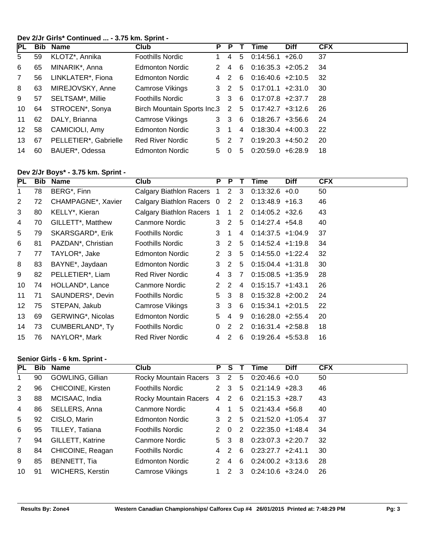#### **Dev 2/Jr Girls\* Continued ... - 3.75 km. Sprint -**

| <b>PL</b>       |    | <b>Bib Name</b>       | Club                                              | P | P     |    | Time                  | <b>Diff</b> | <b>CFX</b> |
|-----------------|----|-----------------------|---------------------------------------------------|---|-------|----|-----------------------|-------------|------------|
| 5               | 59 | KLOTZ*, Annika        | Foothills Nordic                                  |   | 4     | 5  | 0:14:56.1             | $+26.0$     | 37         |
| 6               | 65 | MINARIK*, Anna        | <b>Edmonton Nordic</b>                            |   | 4     | 6  | $0:16:35.3 +2:05.2$   |             | 34         |
| $\overline{7}$  | 56 | LINKLATER*, Fiona     | Edmonton Nordic                                   | 4 | 2     | 6  | $0:16:40.6$ +2:10.5   |             | 32         |
| 8               | 63 | MIREJOVSKY, Anne      | Camrose Vikings                                   |   | 3 2   |    | $5$ 0:17:01.1 +2:31.0 |             | 30         |
| 9               | 57 | SELTSAM*, Millie      | <b>Foothills Nordic</b>                           |   | 3 3 6 |    | $0:17:07.8$ +2:37.7   |             | 28         |
| 10              | 64 | STROCEN*, Sonya       | Birch Mountain Sports Inc.3 2 5 0:17:42.7 +3:12.6 |   |       |    |                       |             | 26         |
| 11              | 62 | DALY, Brianna         | Camrose Vikings                                   | 3 | -3    | -6 | $0.18.26.7$ +3.56.6   |             | 24         |
| 12 <sup>1</sup> | 58 | CAMICIOLI, Amy        | <b>Edmonton Nordic</b>                            | 3 |       | 4  | $0:18:30.4$ +4:00.3   |             | -22        |
| 13              | 67 | PELLETIER*, Gabrielle | <b>Red River Nordic</b>                           | 5 | -2    |    | $0:19:20.3$ +4:50.2   |             | -20        |
| 14              | 60 | BAUER*, Odessa        | <b>Edmonton Nordic</b>                            | 5 | 0     | 5  | $0:20:59.0 + 6:28.9$  |             | 18         |

#### **Dev 2/Jr Boys\* - 3.75 km. Sprint -**

| PL                | Bib. | <b>Name</b>                     | Club                           | P                    | P            | Т              | Time                 | <b>Diff</b> | <b>CFX</b> |
|-------------------|------|---------------------------------|--------------------------------|----------------------|--------------|----------------|----------------------|-------------|------------|
| 1                 | 78   | BERG*, Finn                     | Calgary Biathlon Racers 1      |                      | 2            | $\mathbf{3}$   | $0:13:32.6 +0.0$     |             | 50         |
| $\overline{2}$    | 72   | CHAMPAGNE <sup>*</sup> , Xavier | Calgary Biathlon Racers 0      |                      | 2            | $\overline{2}$ | $0.13.48.9 + 16.3$   |             | 46         |
| 3                 | 80   | KELLY*, Kieran                  | <b>Calgary Biathlon Racers</b> | $\mathbf{1}$         | $\mathbf 1$  | $2^{\circ}$    | $0.14.05.2 + 32.6$   |             | 43         |
| 4                 | 70   | GILLETT*, Matthew               | Canmore Nordic                 | 3                    | 2            | 5              | $0.14.27.4$ +54.8    |             | 40         |
| 5                 | 79   | SKARSGARD*, Erik                | <b>Foothills Nordic</b>        | 3                    | 1            | 4              | $0:14:37.5$ +1:04.9  |             | 37         |
| 6                 | 81   | PAZDAN <sup>*</sup> , Christian | <b>Foothills Nordic</b>        | 3                    | 2            | 5              | $0:14:52.4$ +1:19.8  |             | 34         |
| $\overline{7}$    | 77   | TAYLOR*, Jake                   | <b>Edmonton Nordic</b>         | $\mathbf{2}^{\circ}$ | 3            | 5              | $0:14:55.0 +1:22.4$  |             | 32         |
| 8                 | 83   | BAYNE*, Jaydaan                 | <b>Edmonton Nordic</b>         | 3                    | 2            | 5              | $0:15:04.4$ +1:31.8  |             | 30         |
| 9                 | 82   | PELLETIER*, Liam                | <b>Red River Nordic</b>        | 4                    | 3            | 7              | $0:15:08.5 +1:35.9$  |             | 28         |
| 10                | 74   | HOLLAND*, Lance                 | Canmore Nordic                 | 2                    | 2            | 4              | $0:15:15.7$ +1:43.1  |             | 26         |
| 11                | 71   | SAUNDERS*, Devin                | <b>Foothills Nordic</b>        | 5.                   | $\mathbf{3}$ | 8              | $0.15.32.8 + 2.00.2$ |             | 24         |
| $12 \overline{ }$ | 75   | STEPAN, Jakub                   | Camrose Vikings                | 3                    | 3            | 6              | $0:15:34.1 + 2:01.5$ |             | 22         |
| 13                | 69   | GERWING*, Nicolas               | <b>Edmonton Nordic</b>         | 5                    | 4            | 9              | $0:16:28.0 +2:55.4$  |             | 20         |
| 14                | 73   | CUMBERLAND*, Ty                 | <b>Foothills Nordic</b>        | $\Omega$             | 2            | 2              | $0:16:31.4$ +2:58.8  |             | 18         |
| 15                | 76   | NAYLOR*, Mark                   | <b>Red River Nordic</b>        | 4                    | 2            | 6              | $0:19:26.4$ +5:53.8  |             | 16         |

#### **Senior Girls - 6 km. Sprint -**

| PL           | Bib | Name                     | <b>Club</b>               | P  | S.                      |                | <b>Time</b>          | <b>Diff</b> | <b>CFX</b> |
|--------------|-----|--------------------------|---------------------------|----|-------------------------|----------------|----------------------|-------------|------------|
| 1            | 90  | GOWLING, Gillian         | Rocky Mountain Racers 3 2 |    |                         | 5 <sup>5</sup> | $0:20:46.6$ +0.0     |             | 50         |
| 2            | 96  | <b>CHICOINE, Kirsten</b> | <b>Foothills Nordic</b>   | 2  | -3                      | 5              | $0:21:14.9$ +28.3    |             | 46         |
| 3            | 88  | MCISAAC, India           | Rocky Mountain Racers     | 4  | 2 6                     |                | $0:21:15.3$ +28.7    |             | 43         |
| 4            | 86  | SELLERS, Anna            | Canmore Nordic            | 4  |                         | 5              | $0:21:43.4$ +56.8    |             | 40         |
| 5            | 92  | CISLO, Marin             | <b>Edmonton Nordic</b>    | 3  | $\overline{\mathbf{2}}$ | 5              | $0:21:52.0 +1:05.4$  |             | -37        |
| 6            | 95  | TILLEY, Tatiana          | <b>Foothills Nordic</b>   | 2  | - 0                     | 2              | $0:22:35.0 +1:48.4$  |             | 34         |
| $\mathbf{7}$ | 94  | <b>GILLETT, Katrine</b>  | Canmore Nordic            | 5. | -3                      | 8              | $0:23:07.3$ +2:20.7  |             | 32         |
| 8            | 84  | CHICOINE, Reagan         | <b>Foothills Nordic</b>   | 4  | $\mathcal{P}$           | 6              | $0:23:27.7$ +2:41.1  |             | 30         |
| 9            | 85  | BENNETT, Tia             | <b>Edmonton Nordic</b>    |    | 4                       | 6              | $0:24:00.2 +3:13.6$  |             | 28         |
| 10           | 91  | <b>WICHERS, Kerstin</b>  | Camrose Vikings           |    | 2.                      | 3              | $0.24:10.6 + 3:24.0$ |             | 26         |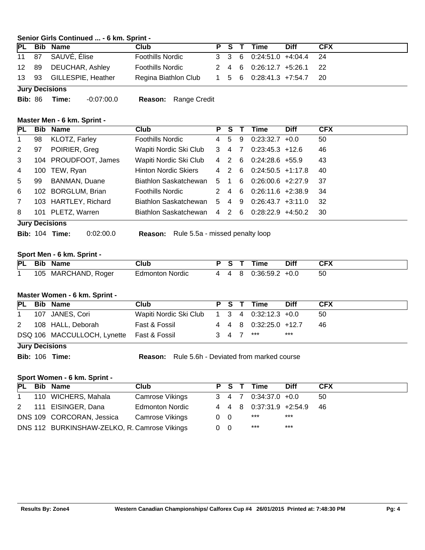#### **Senior Girls Continued ... - 6 km. Sprint -**

|  | PL Bib Name              | Club                                            |  | P S T Time                 | Diff | <b>CFX</b> |
|--|--------------------------|-------------------------------------------------|--|----------------------------|------|------------|
|  | 11 87 SAUVÉ, Élise       | <b>Foothills Nordic</b>                         |  | 3 3 6 0:24:51.0 +4:04.4 24 |      |            |
|  | 12 89 DEUCHAR, Ashley    | <b>Foothills Nordic</b>                         |  | 2 4 6 0:26:12.7 +5:26.1 22 |      |            |
|  | 13 93 GILLESPIE, Heather | Regina Biathlon Club 1 5 6 0:28:41.3 +7:54.7 20 |  |                            |      |            |
|  | <b>Jury Decisions</b>    |                                                 |  |                            |      |            |

**Bib:** 86 **Time:** -0:07:00.0 **Reason:** Range Credit

#### **Master Men - 6 km. Sprint -**

| <b>PL</b>      |     | <b>Bib Name</b>       | <b>Club</b>                 | P.             | S.    |    | Time                | <b>Diff</b> | <b>CFX</b> |
|----------------|-----|-----------------------|-----------------------------|----------------|-------|----|---------------------|-------------|------------|
| $\mathbf 1$    | 98  | KLOTZ, Farley         | Foothills Nordic            | $\overline{4}$ | -5    | 9  | $0:23:32.7$ +0.0    |             | 50         |
| 2              | 97  | POIRIER, Greg         | Wapiti Nordic Ski Club      | 3              | 47    |    | $0:23:45.3$ +12.6   |             | 46         |
| 3              |     | 104 PROUDFOOT, James  | Wapiti Nordic Ski Club      |                | 4 2   | -6 | $0:24:28.6$ +55.9   |             | 43         |
| 4              | 100 | TEW, Ryan             | <b>Hinton Nordic Skiers</b> |                | 4 2   | -6 | $0:24:50.5$ +1:17.8 |             | 40         |
| 5              | 99  | <b>BANMAN, Duane</b>  | Biathlon Saskatchewan       | 5 1            |       | 6  | $0:26:00.6$ +2:27.9 |             | -37        |
| 6              | 102 | <b>BORGLUM, Brian</b> | <b>Foothills Nordic</b>     |                | 2 4 6 |    | $0:26:11.6$ +2:38.9 |             | -34        |
| $\overline{7}$ |     | 103 HARTLEY, Richard  | Biathlon Saskatchewan       | 5              | 4     | 9  | $0:26:43.7$ +3:11.0 |             | -32        |
| 8              |     | 101 PLETZ, Warren     | Biathlon Saskatchewan       |                | 4 2 6 |    | $0.28:22.9$ +4:50.2 |             | -30        |
|                |     | <b>Jury Decisions</b> |                             |                |       |    |                     |             |            |

**Bib:** 104 **Time:** 0:02:00.0 **Reason:** Rule 5.5a - missed penalty loop

#### **Sport Men - 6 km. Sprint -**

|  | PL Bib Name         | Club                   | P S T | Time                 | <b>Diff</b> | CFX |
|--|---------------------|------------------------|-------|----------------------|-------------|-----|
|  | 105 MARCHAND, Roger | <b>Edmonton Nordic</b> |       | 4 4 8 0:36:59.2 +0.0 |             | 50  |

#### **Master Women - 6 km. Sprint -**

|                                            | PL Bib Name                               | <b>Club</b>                                 |  |  |  | P S T Time            | <b>Diff</b> | <b>CFX</b> |  |
|--------------------------------------------|-------------------------------------------|---------------------------------------------|--|--|--|-----------------------|-------------|------------|--|
|                                            | 107 JANES, Cori                           | Wapiti Nordic Ski Club 1 3 4 0:32:12.3 +0.0 |  |  |  |                       |             | 50         |  |
|                                            | 2 108 HALL, Deborah                       | Fast & Fossil                               |  |  |  | 4 4 8 0:32:25.0 +12.7 |             | 46.        |  |
|                                            | DSQ 106 MACCULLOCH, Lynette Fast & Fossil |                                             |  |  |  |                       | ***         |            |  |
| $3 \t4 \t7 \t***$<br><b>Jury Decisions</b> |                                           |                                             |  |  |  |                       |             |            |  |

**Bib:** 106 **Time: Reason:** Rule 5.6h - Deviated from marked course

#### **Sport Women - 6 km. Sprint -**

|              | PL Bib Name                                  | Club                   | P S T      |  | Time                                           | <b>Diff</b> | <b>CFX</b> |
|--------------|----------------------------------------------|------------------------|------------|--|------------------------------------------------|-------------|------------|
| $\mathbf{1}$ | 110 WICHERS, Mahala                          | Camrose Vikings        |            |  | $3 \quad 4 \quad 7 \quad 0.34.37.0 \quad +0.0$ |             | 50         |
|              | 2 111 EISINGER, Dana                         | <b>Edmonton Nordic</b> |            |  | 4 4 8 0:37:31.9 +2:54.9                        |             | -46        |
|              | DNS 109 CORCORAN, Jessica                    | Camrose Vikings        | $0\quad 0$ |  | ***                                            | ***         |            |
|              | DNS 112 BURKINSHAW-ZELKO, R. Camrose Vikings |                        | $0\quad 0$ |  | ***                                            | ***         |            |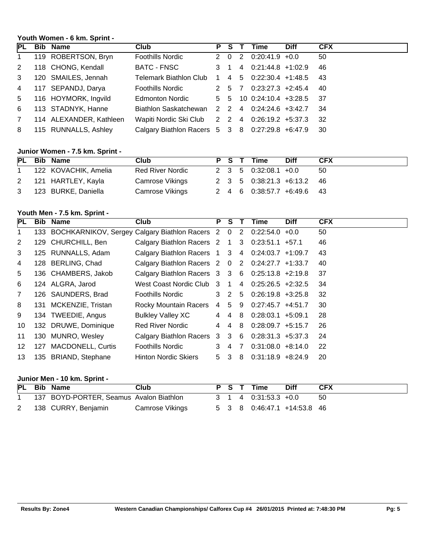# **Youth Women - 6 km. Sprint -**

| PL             | <b>Bib Name</b>         | Club                                               | P S T       |       | Time                        | <b>Diff</b> | <b>CFX</b> |
|----------------|-------------------------|----------------------------------------------------|-------------|-------|-----------------------------|-------------|------------|
| $\mathbf{1}$   | 119 ROBERTSON, Bryn     | <b>Foothills Nordic</b>                            |             | 2 0 2 | $0.20:41.9$ +0.0            |             | 50         |
| 2              | 118 CHONG, Kendall      | BATC - FNSC                                        | $3 \quad 1$ |       | $4$ 0:21:44.8 +1:02.9       |             | -46        |
| $\mathbf{3}$   | 120 SMAILES, Jennah     | Telemark Biathlon Club 1 4 5 0:22:30.4 +1:48.5     |             |       |                             |             | -43        |
| $\overline{4}$ | 117 SEPANDJ, Darya      | Foothills Nordic                                   |             | 2 5 7 | $0:23:27.3$ +2:45.4         |             | - 40       |
| 5              | 116 HOYMORK, Ingvild    | Edmonton Nordic                                    |             |       | 5 5 10 0:24:10.4 +3:28.5 37 |             |            |
| 6              | 113 STADNYK, Hanne      | Biathlon Saskatchewan 2 2 4 0:24:24.6 +3:42.7 34   |             |       |                             |             |            |
| $7^{\circ}$    | 114 ALEXANDER, Kathleen | Wapiti Nordic Ski Club 2 2 4 0:26:19.2 +5:37.3     |             |       |                             |             | - 32       |
| 8              | 115 RUNNALLS, Ashley    | Calgary Biathlon Racers 5 3 8 0:27:29.8 +6:47.9 30 |             |       |                             |             |            |

# **Junior Women - 7.5 km. Sprint -**

|  | PL Bib Name           | Club             |  | P S T Time                                     | <b>Diff</b> | <b>CFX</b> |
|--|-----------------------|------------------|--|------------------------------------------------|-------------|------------|
|  | 122 KOVACHIK, Amelia  | Red River Nordic |  | $2 \quad 3 \quad 5 \quad 0.32.08.1 \quad +0.0$ |             | -50        |
|  | 2 121 HARTLEY, Kayla  | Camrose Vikings  |  | 2 3 5 0:38:21.3 +6:13.2 46                     |             |            |
|  | 3 123 BURKE, Daniella | Camrose Vikings  |  | 2 4 6 0:38:57.7 +6:49.6 43                     |             |            |

# **Youth Men - 7.5 km. Sprint -**

| PL              | Bib | <b>Name</b>                                          | <b>Club</b>                                     | P              | <b>S</b>       |                | Time                           | <b>Diff</b> | <b>CFX</b> |
|-----------------|-----|------------------------------------------------------|-------------------------------------------------|----------------|----------------|----------------|--------------------------------|-------------|------------|
| $\mathbf{1}$    |     | 133 BOCHKARNIKOV, Sergey Calgary Biathlon Racers 2 0 |                                                 |                |                |                | $2 \quad 0:22:54.0 \quad +0.0$ |             | 50         |
| $\overline{2}$  |     | 129 CHURCHILL, Ben                                   | Calgary Biathlon Racers 2 1 3 0:23:51.1 +57.1   |                |                |                |                                |             | 46         |
| 3               |     | 125 RUNNALLS, Adam                                   | Calgary Biathlon Racers 1 3 4 0:24:03.7 +1:09.7 |                |                |                |                                |             | 43         |
| 4               |     | 128 BERLING, Chad                                    | Calgary Biathlon Racers 2 0                     |                |                |                | 2 0:24:27.7 +1:33.7            |             | 40         |
| 5               |     | 136 CHAMBERS, Jakob                                  | Calgary Biathlon Racers 3 3 6 0:25:13.8 +2:19.8 |                |                |                |                                |             | 37         |
| 6               |     | 124 ALGRA, Jarod                                     | West Coast Nordic Club 3                        |                | $\overline{1}$ | $\overline{4}$ | $0.25.26.5 +2.32.5$            |             | 34         |
| $\overline{7}$  |     | 126 SAUNDERS, Brad                                   | Foothills Nordic                                |                | $3\quad2$      | 5 <sup>5</sup> | $0:26:19.8$ +3:25.8            |             | 32         |
| 8               |     | 131 MCKENZIE, Tristan                                | Rocky Mountain Racers                           |                | 4 5            | 9              | $0.27:45.7$ +4:51.7            |             | 30         |
| 9               |     | 134 TWEEDIE, Angus                                   | <b>Bulkley Valley XC</b>                        | 4              | 4              |                | 8 0:28:03.1 +5:09.1            |             | 28         |
| 10              |     | 132 DRUWE, Dominique                                 | Red River Nordic                                | 4              | $\overline{4}$ | 8              | $0:28:09.7$ +5:15.7            |             | 26         |
| 11              |     | 130 MUNRO, Wesley                                    | Calgary Biathlon Racers 3 3                     |                |                | 6              | $0:28:31.3$ +5:37.3            |             | 24         |
| 12 <sup>°</sup> |     | 127 MACDONELL, Curtis                                | Foothills Nordic                                | 3              | -4             | 7              | $0:31:08.0 + 8:14.0$           |             | 22         |
| 13              |     | 135 BRIAND, Stephane                                 | <b>Hinton Nordic Skiers</b>                     | 5 <sup>3</sup> |                | 8              | $0:31:18.9 + 8:24.9$           |             | 20         |

#### **Junior Men - 10 km. Sprint -**

|   | PL Bib Name                             | Club            |  | P S T Time                  | <b>Diff</b> | <b>CFX</b> |
|---|-----------------------------------------|-----------------|--|-----------------------------|-------------|------------|
|   | 137 BOYD-PORTER, Seamus Avalon Biathlon |                 |  | 3 1 4 0.31:53.3 +0.0        |             | - 50       |
| 2 | 138 CURRY, Benjamin                     | Camrose Vikings |  | 5 3 8 0:46:47.1 +14:53.8 46 |             |            |